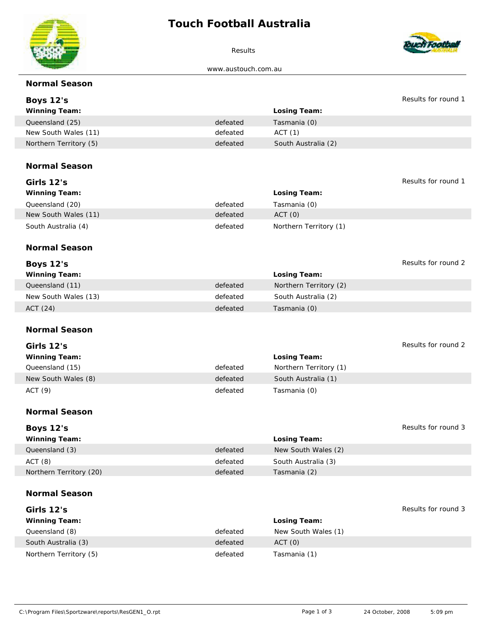## **Touch Football Australia**



Results



www.austouch.com.au

| Normal Season           |          |                        |                     |
|-------------------------|----------|------------------------|---------------------|
| Boys 12's               |          |                        | Results for round 1 |
| Winning Team:           |          | Losing Team:           |                     |
| Queensland (25)         | defeated | Tasmania (0)           |                     |
| New South Wales (11)    | defeated | ACT(1)                 |                     |
| Northern Territory (5)  | defeated | South Australia (2)    |                     |
|                         |          |                        |                     |
| Normal Season           |          |                        |                     |
|                         |          |                        |                     |
| Girls 12's              |          |                        | Results for round 1 |
| Winning Team:           |          | Losing Team:           |                     |
| Queensland (20)         | defeated | Tasmania (0)           |                     |
| New South Wales (11)    | defeated | ACT (0)                |                     |
| South Australia (4)     | defeated | Northern Territory (1) |                     |
|                         |          |                        |                     |
| Normal Season           |          |                        |                     |
| Boys 12's               |          |                        | Results for round 2 |
| Winning Team:           |          | Losing Team:           |                     |
| Queensland (11)         | defeated | Northern Territory (2) |                     |
| New South Wales (13)    | defeated | South Australia (2)    |                     |
| ACT (24)                | defeated | Tasmania (0)           |                     |
|                         |          |                        |                     |
| Normal Season           |          |                        |                     |
| Girls 12's              |          |                        | Results for round 2 |
| Winning Team:           |          | Losing Team:           |                     |
| Queensland (15)         | defeated | Northern Territory (1) |                     |
|                         | defeated | South Australia (1)    |                     |
| New South Wales (8)     |          |                        |                     |
| ACT (9)                 | defeated | Tasmania (0)           |                     |
| Normal Season           |          |                        |                     |
|                         |          |                        |                     |
| Boys 12's               |          |                        | Results for round 3 |
| Winning Team:           |          | Losing Team:           |                     |
| Queensland (3)          | defeated | New South Wales (2)    |                     |
| ACT (8)                 | defeated | South Australia (3)    |                     |
| Northern Territory (20) | defeated | Tasmania (2)           |                     |
|                         |          |                        |                     |
| Normal Season           |          |                        |                     |
| Girls 12's              |          |                        | Results for round 3 |
| Winning Team:           |          | Losing Team:           |                     |
| Queensland (8)          | defeated | New South Wales (1)    |                     |
| South Australia (3)     | defeated | ACT (0)                |                     |
| Northern Territory (5)  | defeated | Tasmania (1)           |                     |
|                         |          |                        |                     |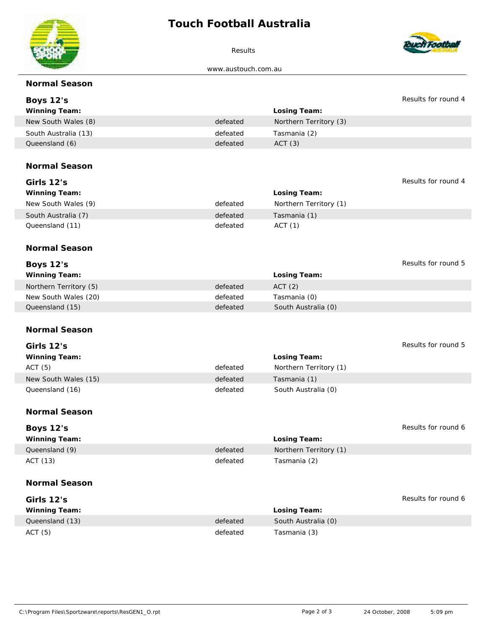## **Touch Football Australia**



Results



www.austouch.com.au

| Normal Season          |          |                        |                     |
|------------------------|----------|------------------------|---------------------|
| Boys 12's              |          |                        | Results for round 4 |
| Winning Team:          |          | Losing Team:           |                     |
| New South Wales (8)    | defeated | Northern Territory (3) |                     |
| South Australia (13)   | defeated | Tasmania (2)           |                     |
| Queensland (6)         | defeated | ACT (3)                |                     |
| Normal Season          |          |                        |                     |
|                        |          |                        |                     |
| Girls 12's             |          |                        | Results for round 4 |
| Winning Team:          |          | Losing Team:           |                     |
| New South Wales (9)    | defeated | Northern Territory (1) |                     |
| South Australia (7)    | defeated | Tasmania (1)           |                     |
| Queensland (11)        | defeated | ACT(1)                 |                     |
|                        |          |                        |                     |
| Normal Season          |          |                        |                     |
| Boys 12's              |          |                        | Results for round 5 |
| Winning Team:          |          | Losing Team:           |                     |
| Northern Territory (5) | defeated | ACT (2)                |                     |
| New South Wales (20)   | defeated | Tasmania (0)           |                     |
| Queensland (15)        | defeated | South Australia (0)    |                     |
|                        |          |                        |                     |
| Normal Season          |          |                        |                     |
| Girls 12's             |          |                        | Results for round 5 |
| Winning Team:          |          | Losing Team:           |                     |
| ACT (5)                | defeated | Northern Territory (1) |                     |
| New South Wales (15)   | defeated | Tasmania (1)           |                     |
| Queensland (16)        | defeated | South Australia (0)    |                     |
|                        |          |                        |                     |
| Normal Season          |          |                        |                     |
|                        |          |                        | Results for round 6 |
| Boys 12's              |          |                        |                     |
| Winning Team:          |          | Losing Team:           |                     |
| Queensland (9)         | defeated | Northern Territory (1) |                     |
| ACT (13)               | defeated | Tasmania (2)           |                     |
| Normal Season          |          |                        |                     |
| Girls 12's             |          |                        | Results for round 6 |
| Winning Team:          |          | Losing Team:           |                     |
| Queensland (13)        | defeated | South Australia (0)    |                     |
| ACT (5)                | defeated | Tasmania (3)           |                     |
|                        |          |                        |                     |